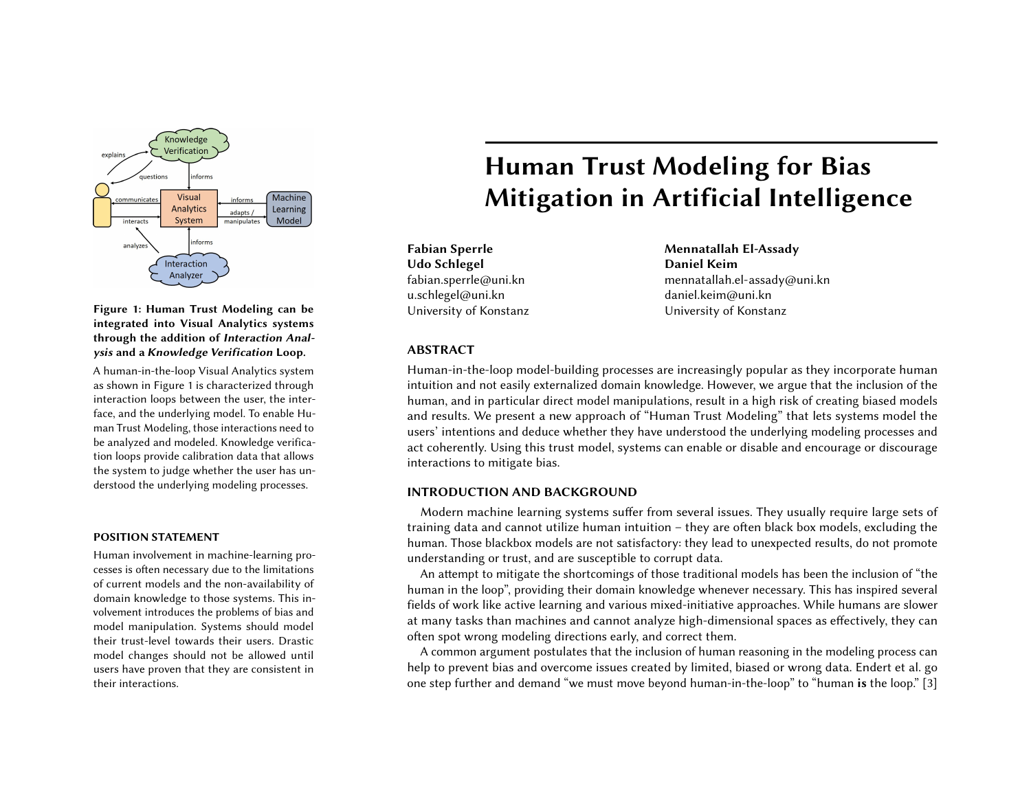

Figure 1: Human Trust Modeling can be integrated into Visual Analytics systems through the addition of Interaction Analysis and a Knowledge Verification Loop.

A human-in-the-loop Visual Analytics system as shown in Figure 1 is characterized through interaction loops between the user, the interface, and the underlying model. To enable Human Trust Modeling, those interactions need to be analyzed and modeled. Knowledge verification loops provide calibration data that allows the system to judge whether the user has understood the underlying modeling processes.

### POSITION STATEMENT

Human involvement in machine-learning processes is often necessary due to the limitations of current models and the non-availability of domain knowledge to those systems. This involvement introduces the problems of bias and model manipulation. Systems should model their trust-level towards their users. Drastic model changes should not be allowed until users have proven that they are consistent in their interactions.

# Human Trust Modeling for Bias Mitigation in Artificial Intelligence

Fabian Sperrle Udo Schlegel fabian.sperrle@uni.kn u.schlegel@uni.kn University of Konstanz Mennatallah El-Assady Daniel Keim mennatallah.el-assady@uni.kn daniel.keim@uni.kn University of Konstanz

# ABSTRACT

Human-in-the-loop model-building processes are increasingly popular as they incorporate human intuition and not easily externalized domain knowledge. However, we argue that the inclusion of the human, and in particular direct model manipulations, result in a high risk of creating biased models and results. We present a new approach of "Human Trust Modeling" that lets systems model the users' intentions and deduce whether they have understood the underlying modeling processes and act coherently. Using this trust model, systems can enable or disable and encourage or discourage interactions to mitigate bias.

# INTRODUCTION AND BACKGROUND

Modern machine learning systems suffer from several issues. They usually require large sets of training data and cannot utilize human intuition – they are often black box models, excluding the human. Those blackbox models are not satisfactory: they lead to unexpected results, do not promote understanding or trust, and are susceptible to corrupt data.

An attempt to mitigate the shortcomings of those traditional models has been the inclusion of "the human in the loop", providing their domain knowledge whenever necessary. This has inspired several fields of work like active learning and various mixed-initiative approaches. While humans are slower at many tasks than machines and cannot analyze high-dimensional spaces as effectively, they can often spot wrong modeling directions early, and correct them.

A common argument postulates that the inclusion of human reasoning in the modeling process can help to prevent bias and overcome issues created by limited, biased or wrong data. Endert et al. go one step further and demand "we must move beyond human-in-the-loop" to "human is the loop." [\[3\]](#page-3-0)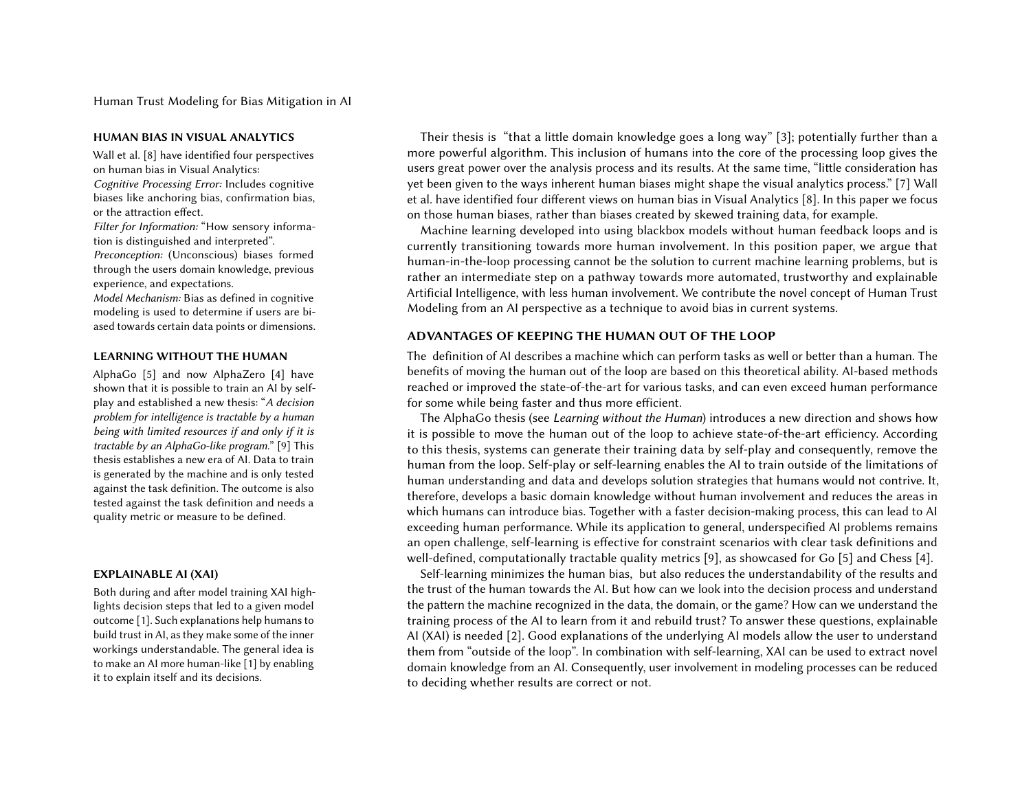Human Trust Modeling for Bias Mitigation in AI

Wall et al. [\[8\]](#page-3-1) have identified four perspectives on human bias in Visual Analytics: Cognitive Processing Error: Includes cognitive biases like anchoring bias, confirmation bias, or the attraction effect.

Filter for Information: "How sensory information is distinguished and interpreted".

Preconception: (Unconscious) biases formed through the users domain knowledge, previous experience, and expectations.

Model Mechanism: Bias as defined in cognitive modeling is used to determine if users are biased towards certain data points or dimensions.

AlphaGo [\[5\]](#page-3-3) and now AlphaZero [\[4\]](#page-3-4) have shown that it is possible to train an AI by selfplay and established a new thesis: "A decision problem for intelligence is tractable by a human being with limited resources if and only if it is tractable by an AlphaGo-like program." [\[9\]](#page-3-5) This thesis establishes a new era of AI. Data to train is generated by the machine and is only tested against the task definition. The outcome is also tested against the task definition and needs a quality metric or measure to be defined.

Both during and after model training XAI highlights decision steps that led to a given model outcome [\[1\]](#page-3-6). Such explanations help humans to build trust in AI, as they make some of the inner workings understandable. The general idea is to make an AI more human-like [\[1\]](#page-3-6) by enabling it to explain itself and its decisions.

HUMAN BIAS IN VISUAL ANALYTICS Thest Their thesis is "that a little domain knowledge goes a long way" [\[3\]](#page-3-0); potentially further than a more powerful algorithm. This inclusion of humans into the core of the processing loop gives the users great power over the analysis process and its results. At the same time, "little consideration has yet been given to the ways inherent human biases might shape the visual analytics process." [\[7\]](#page-3-2) Wall et al. have identified four different views on human bias in Visual Analytics [\[8\]](#page-3-1). In this paper we focus on those human biases, rather than biases created by skewed training data, for example.

> Machine learning developed into using blackbox models without human feedback loops and is currently transitioning towards more human involvement. In this position paper, we argue that human-in-the-loop processing cannot be the solution to current machine learning problems, but is rather an intermediate step on a pathway towards more automated, trustworthy and explainable Artificial Intelligence, with less human involvement. We contribute the novel concept of Human Trust Modeling from an AI perspective as a technique to avoid bias in current systems.

# ADVANTAGES OF KEEPING THE HUMAN OUT OF THE LOOP

LEARNING WITHOUT THE HUMAN The definition of AI describes a machine which can perform tasks as well or better than a human. The benefits of moving the human out of the loop are based on this theoretical ability. AI-based methods reached or improved the state-of-the-art for various tasks, and can even exceed human performance for some while being faster and thus more efficient.

> The AlphaGo thesis (see Learning without the Human) introduces a new direction and shows how it is possible to move the human out of the loop to achieve state-of-the-art efficiency. According to this thesis, systems can generate their training data by self-play and consequently, remove the human from the loop. Self-play or self-learning enables the AI to train outside of the limitations of human understanding and data and develops solution strategies that humans would not contrive. It, therefore, develops a basic domain knowledge without human involvement and reduces the areas in which humans can introduce bias. Together with a faster decision-making process, this can lead to AI exceeding human performance. While its application to general, underspecified AI problems remains an open challenge, self-learning is effective for constraint scenarios with clear task definitions and well-defined, computationally tractable quality metrics [\[9\]](#page-3-5), as showcased for Go [\[5\]](#page-3-3) and Chess [\[4\]](#page-3-4).

EXPLAINABLE AI (XAI) Self-learning minimizes the human bias, but also reduces the understandability of the results and the trust of the human towards the AI. But how can we look into the decision process and understand the pattern the machine recognized in the data, the domain, or the game? How can we understand the training process of the AI to learn from it and rebuild trust? To answer these questions, explainable AI (XAI) is needed [\[2\]](#page-3-7). Good explanations of the underlying AI models allow the user to understand them from "outside of the loop". In combination with self-learning, XAI can be used to extract novel domain knowledge from an AI. Consequently, user involvement in modeling processes can be reduced to deciding whether results are correct or not.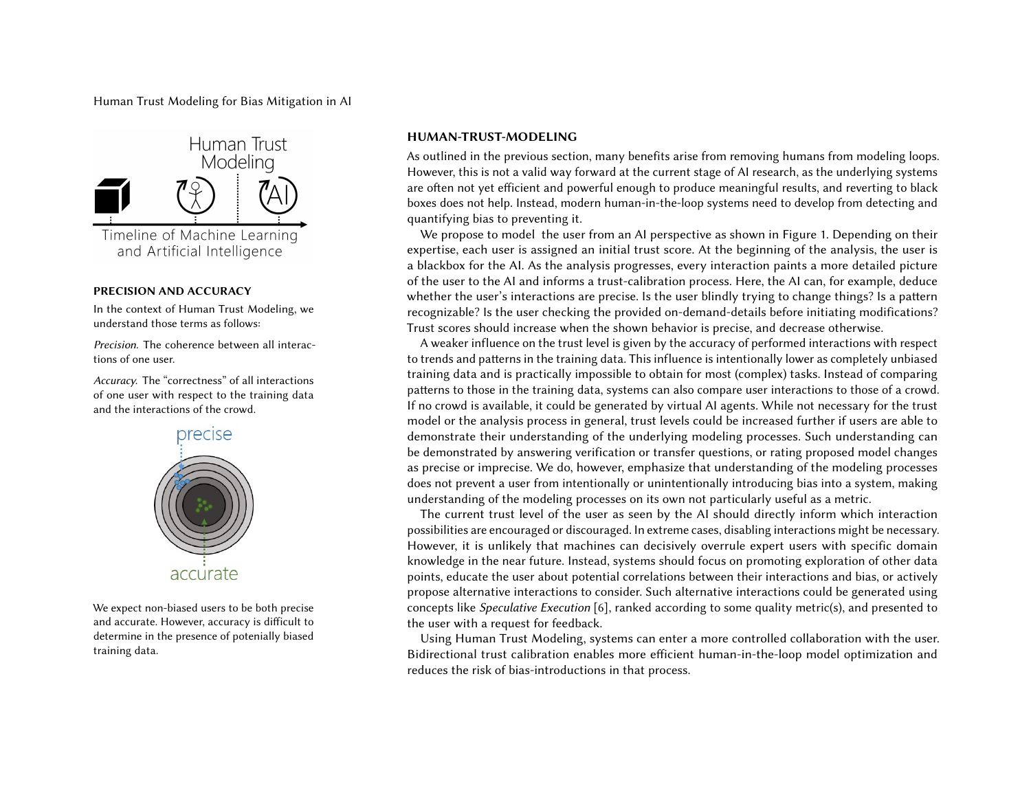Human Trust Modeling for Bias Mitigation in AI



# PRECISION AND ACCURACY

In the context of Human Trust Modeling, we understand those terms as follows:

Precision. The coherence between all interactions of one user.

Accuracy. The "correctness" of all interactions of one user with respect to the training data and the interactions of the crowd.



We expect non-biased users to be both precise and accurate. However, accuracy is difficult to determine in the presence of potenially biased training data.

# HUMAN-TRUST-MODELING

As outlined in the previous section, many benefits arise from removing humans from modeling loops. However, this is not a valid way forward at the current stage of AI research, as the underlying systems are often not yet efficient and powerful enough to produce meaningful results, and reverting to black boxes does not help. Instead, modern human-in-the-loop systems need to develop from detecting and quantifying bias to preventing it.

We propose to model the user from an AI perspective as shown in Figure 1. Depending on their expertise, each user is assigned an initial trust score. At the beginning of the analysis, the user is a blackbox for the AI. As the analysis progresses, every interaction paints a more detailed picture of the user to the AI and informs a trust-calibration process. Here, the AI can, for example, deduce whether the user's interactions are precise. Is the user blindly trying to change things? Is a pattern recognizable? Is the user checking the provided on-demand-details before initiating modifications? Trust scores should increase when the shown behavior is precise, and decrease otherwise.

A weaker influence on the trust level is given by the accuracy of performed interactions with respect to trends and patterns in the training data. This influence is intentionally lower as completely unbiased training data and is practically impossible to obtain for most (complex) tasks. Instead of comparing patterns to those in the training data, systems can also compare user interactions to those of a crowd. If no crowd is available, it could be generated by virtual AI agents. While not necessary for the trust model or the analysis process in general, trust levels could be increased further if users are able to demonstrate their understanding of the underlying modeling processes. Such understanding can be demonstrated by answering verification or transfer questions, or rating proposed model changes as precise or imprecise. We do, however, emphasize that understanding of the modeling processes does not prevent a user from intentionally or unintentionally introducing bias into a system, making understanding of the modeling processes on its own not particularly useful as a metric.

The current trust level of the user as seen by the AI should directly inform which interaction possibilities are encouraged or discouraged. In extreme cases, disabling interactions might be necessary. However, it is unlikely that machines can decisively overrule expert users with specific domain knowledge in the near future. Instead, systems should focus on promoting exploration of other data points, educate the user about potential correlations between their interactions and bias, or actively propose alternative interactions to consider. Such alternative interactions could be generated using concepts like Speculative Execution [\[6\]](#page-3-8), ranked according to some quality metric(s), and presented to the user with a request for feedback.

Using Human Trust Modeling, systems can enter a more controlled collaboration with the user. Bidirectional trust calibration enables more efficient human-in-the-loop model optimization and reduces the risk of bias-introductions in that process.